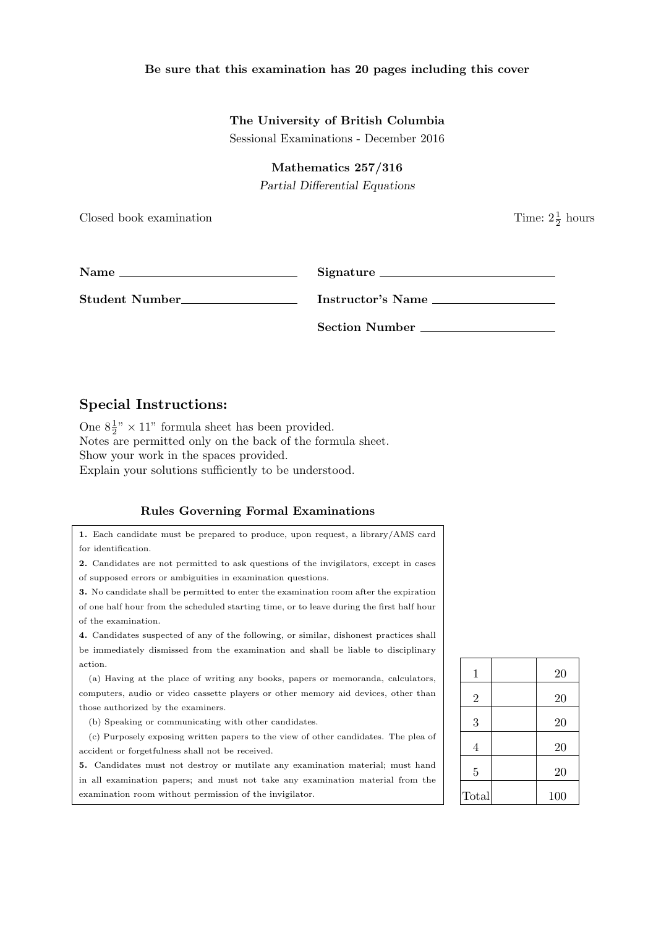#### **Be sure that this examination has 20 pages including this cover**

#### **The University of British Columbia**

Sessional Examinations - December 2016

**Mathematics 257/316**

*Partial Differential Equations*

Closed book examination

 $\frac{1}{2}$  hours

| <b>Name</b> | Signature |
|-------------|-----------|
|             |           |

**Student Number Instructor's Name** 

**Section Number**

#### **Special Instructions:**

One  $8\frac{1}{2}$ " × 11" formula sheet has been provided. Notes are permitted only on the back of the formula sheet. Show your work in the spaces provided. Explain your solutions sufficiently to be understood.

#### **Rules Governing Formal Examinations**

**1.** Each candidate must be prepared to produce, upon request, a library/AMS card for identification.

**2.** Candidates are not permitted to ask questions of the invigilators, except in cases of supposed errors or ambiguities in examination questions.

**3.** No candidate shall be permitted to enter the examination room after the expiration of one half hour from the scheduled starting time, or to leave during the first half hour of the examination.

**4.** Candidates suspected of any of the following, or similar, dishonest practices shall be immediately dismissed from the examination and shall be liable to disciplinary action.

(a) Having at the place of writing any books, papers or memoranda, calculators, computers, audio or video cassette players or other memory aid devices, other than those authorized by the examiners.

(b) Speaking or communicating with other candidates.

(c) Purposely exposing written papers to the view of other candidates. The plea of accident or forgetfulness shall not be received.

**5.** Candidates must not destroy or mutilate any examination material; must hand in all examination papers; and must not take any examination material from the examination room without permission of the invigilator.

| 1              | 20  |
|----------------|-----|
| $\overline{2}$ | 20  |
| 3              | 20  |
| 4              | 20  |
| $\overline{5}$ | 20  |
| Total          | 100 |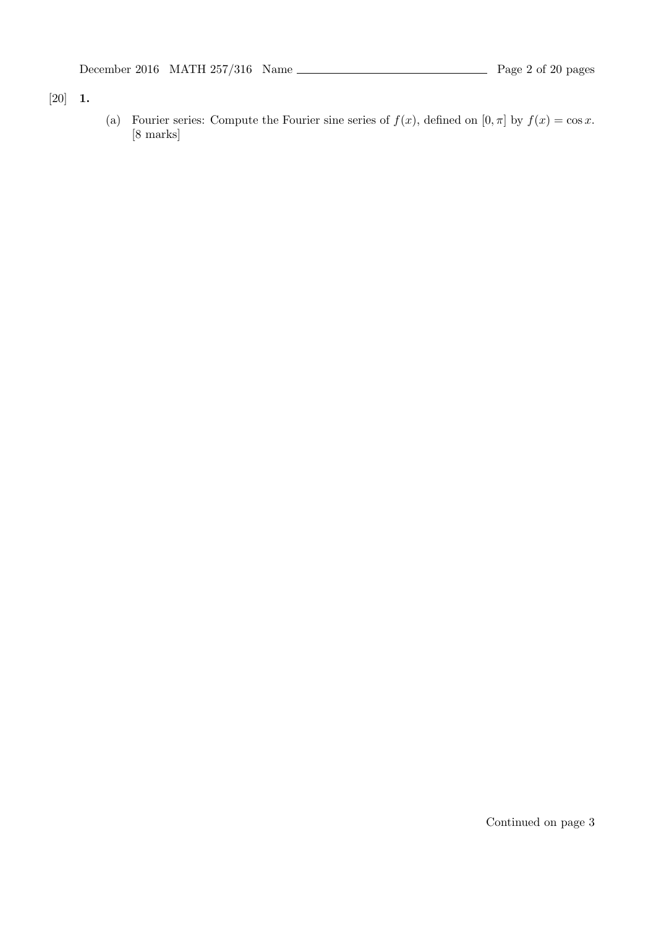[20] **1.**

(a) Fourier series: Compute the Fourier sine series of  $f(x)$ , defined on  $[0, \pi]$  by  $f(x) = \cos x$ . [8 marks]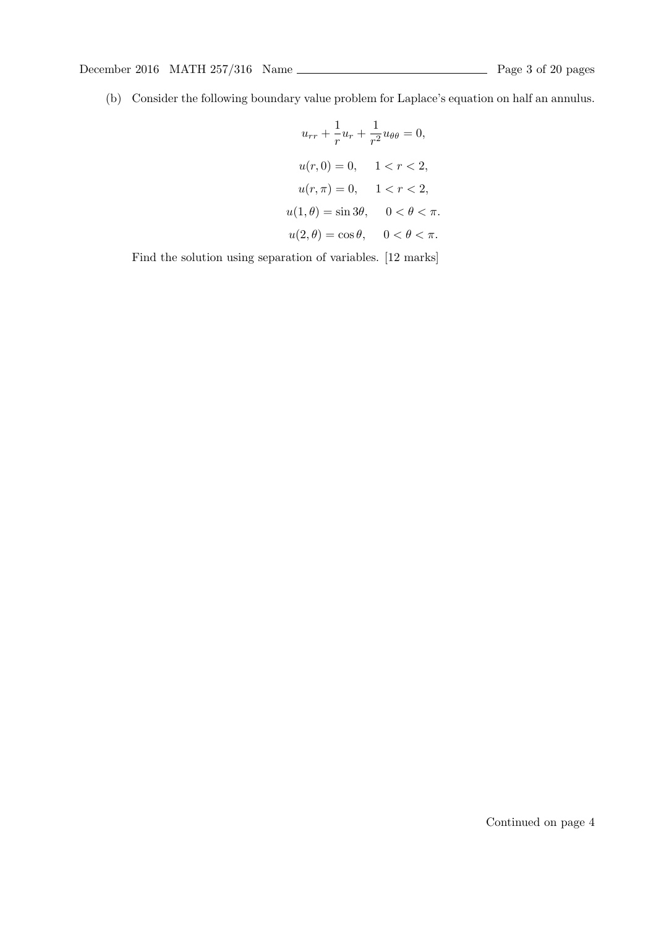(b) Consider the following boundary value problem for Laplace's equation on half an annulus.

$$
u_{rr} + \frac{1}{r}u_r + \frac{1}{r^2}u_{\theta\theta} = 0,
$$
  

$$
u(r, 0) = 0, \quad 1 < r < 2,
$$
  

$$
u(r, \pi) = 0, \quad 1 < r < 2,
$$
  

$$
u(1, \theta) = \sin 3\theta, \quad 0 < \theta < \pi.
$$
  

$$
u(2, \theta) = \cos \theta, \quad 0 < \theta < \pi.
$$

Find the solution using separation of variables. [12 marks]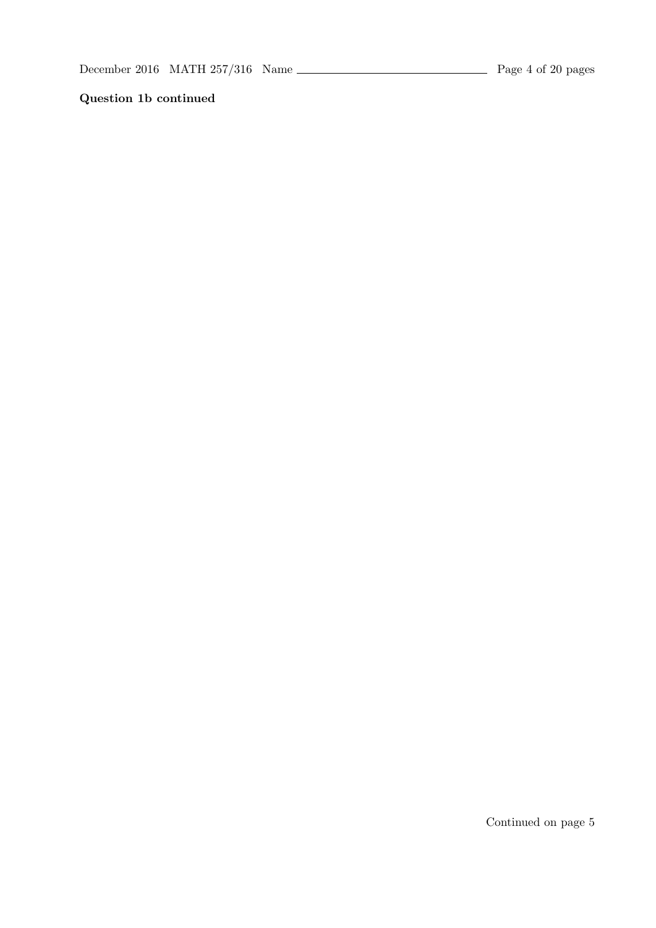## **Question 1b continued**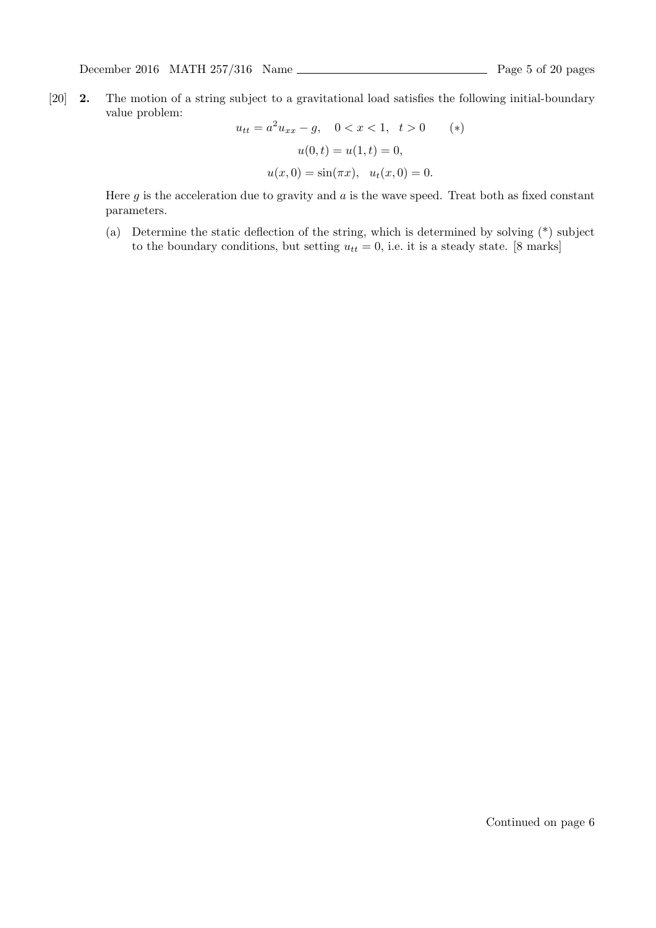[20] **2.** The motion of a string subject to a gravitational load satisfies the following initial-boundary value problem:

$$
u_{tt} = a^2 u_{xx} - g, \quad 0 < x < 1, \quad t > 0 \quad (*)
$$
\n
$$
u(0, t) = u(1, t) = 0,
$$
\n
$$
u(x, 0) = \sin(\pi x), \quad u_t(x, 0) = 0.
$$

Here  $g$  is the acceleration due to gravity and  $a$  is the wave speed. Treat both as fixed constant parameters.

(a) Determine the static deflection of the string, which is determined by solving (\*) subject to the boundary conditions, but setting  $u_{tt} = 0$ , i.e. it is a steady state. [8 marks]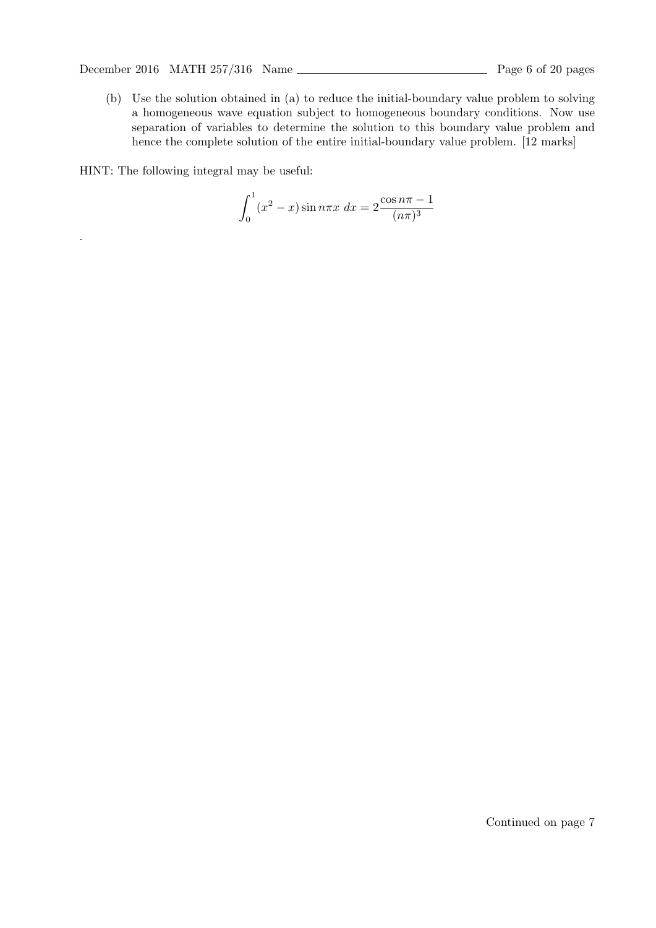December 2016 MATH  $257/316$  Name  $\frac{1}{257/316}$  Name  $\frac{1}{257/316}$  Page 6 of 20 pages

(b) Use the solution obtained in (a) to reduce the initial-boundary value problem to solving a homogeneous wave equation subject to homogeneous boundary conditions. Now use separation of variables to determine the solution to this boundary value problem and hence the complete solution of the entire initial-boundary value problem. [12 marks]

HINT: The following integral may be useful:

.

$$
\int_0^1 (x^2 - x) \sin n\pi x \, dx = 2 \frac{\cos n\pi - 1}{(n\pi)^3}
$$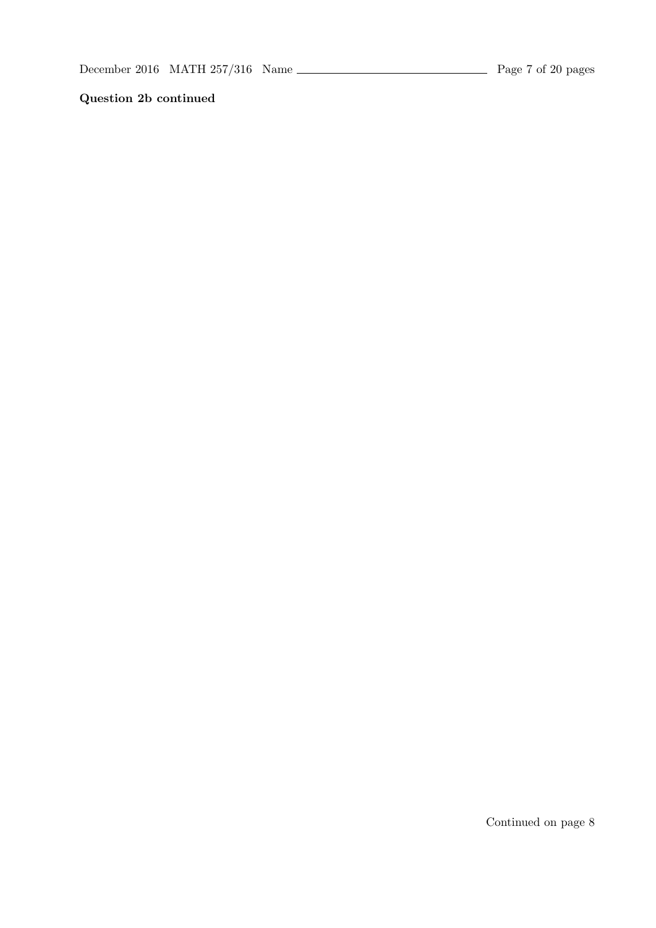## **Question 2b continued**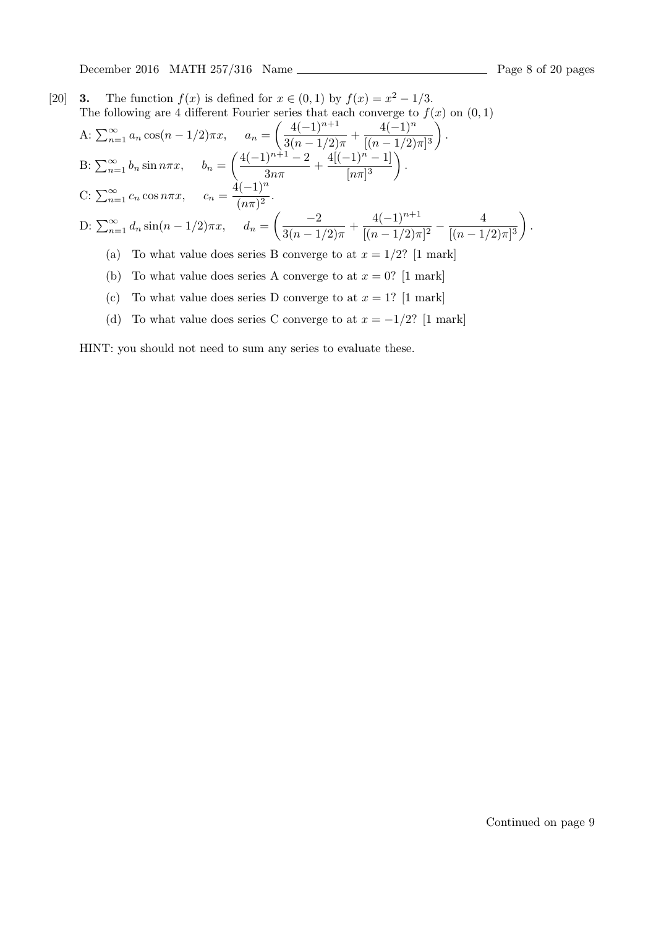December 2016 MATH 257/316 Name Page 8 of 20 pages

[20] **3.** The function  $f(x)$  is defined for  $x \in (0,1)$  by  $f(x) = x^2 - 1/3$ . The following are 4 different Fourier series that each converge to  $f(x)$  on  $(0,1)$ A:  $\sum_{n=1}^{\infty} a_n \cos(n - 1/2)\pi x$ ,  $a_n =$  $\left( \frac{4(-1)^{n+1}}{n} \right)$  $\frac{4(-1)^{n+1}}{3(n-1/2)\pi} + \frac{4(-1)^n}{[(n-1/2)]^n}$  $[(n-1/2)\pi]^3$  $\lambda$ *.* B:  $\sum_{n=1}^{\infty} b_n \sin n\pi x$ ,  $b_n =$  $\left( \frac{4(-1)^{n+1}-2}{n} \right)$  $\frac{(-1)^{n+1}-2}{3n\pi} + \frac{4[(-1)^n-1]}{[n\pi]^3}$  $\lbrack n\pi \rbrack^3$  $\setminus$ *.*  $C: \sum_{n=1}^{\infty} c_n \cos n\pi x$ ,  $c_n = \frac{4(-1)^n}{(n\pi)^2}$  $\frac{(n\pi)^2}{(n\pi)^2}$ . D:  $\sum_{n=1}^{\infty} d_n \sin(n - 1/2)\pi x$ ,  $d_n =$ ( *−*2  $\frac{-2}{3(n-1/2)\pi} + \frac{4(-1)^{n+1}}{[(n-1/2)\pi]}$  $\sqrt{[(n-1/2)\pi]^2}$ 4  $[(n-1/2)\pi]^3$  $\setminus$ *.* (a) To what value does series B converge to at  $x = 1/2$ ? [1 mark] (b) To what value does series A converge to at  $x = 0$ ? [1 mark]

- (c) To what value does series D converge to at  $x = 1$ ? [1 mark]
- (d) To what value does series C converge to at  $x = -1/2$ ? [1 mark]

HINT: you should not need to sum any series to evaluate these.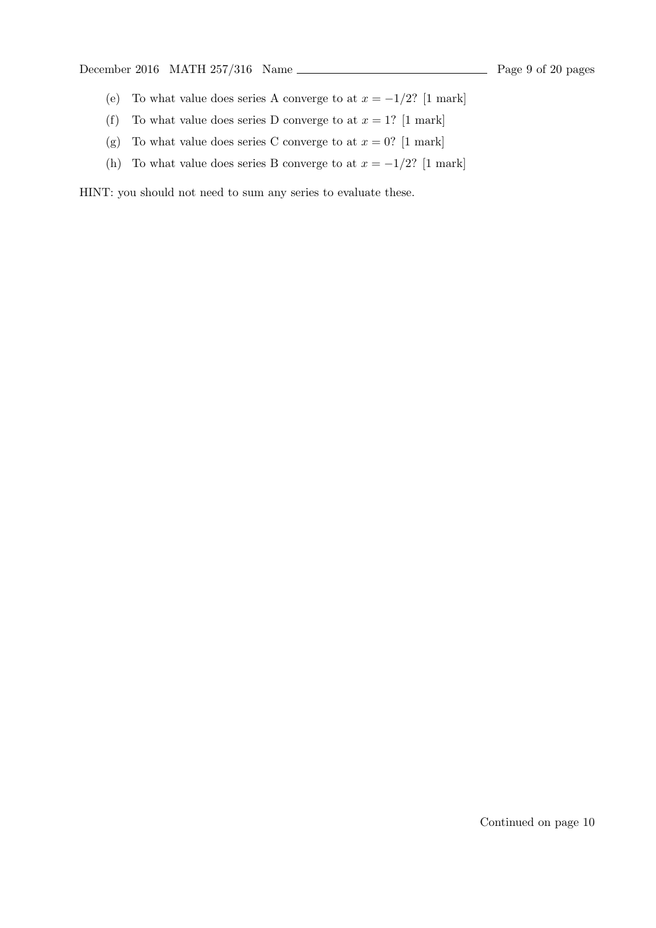December 2016 MATH  $257/316$  Name  $\frac{1}{257/316}$  Name  $\frac{1}{257/316}$  Page 9 of 20 pages

- (e) To what value does series A converge to at  $x = -1/2$ ? [1 mark]
- (f) To what value does series D converge to at  $x = 1$ ? [1 mark]
- (g) To what value does series C converge to at  $x = 0$ ? [1 mark]
- (h) To what value does series B converge to at  $x = -1/2$ ? [1 mark]

HINT: you should not need to sum any series to evaluate these.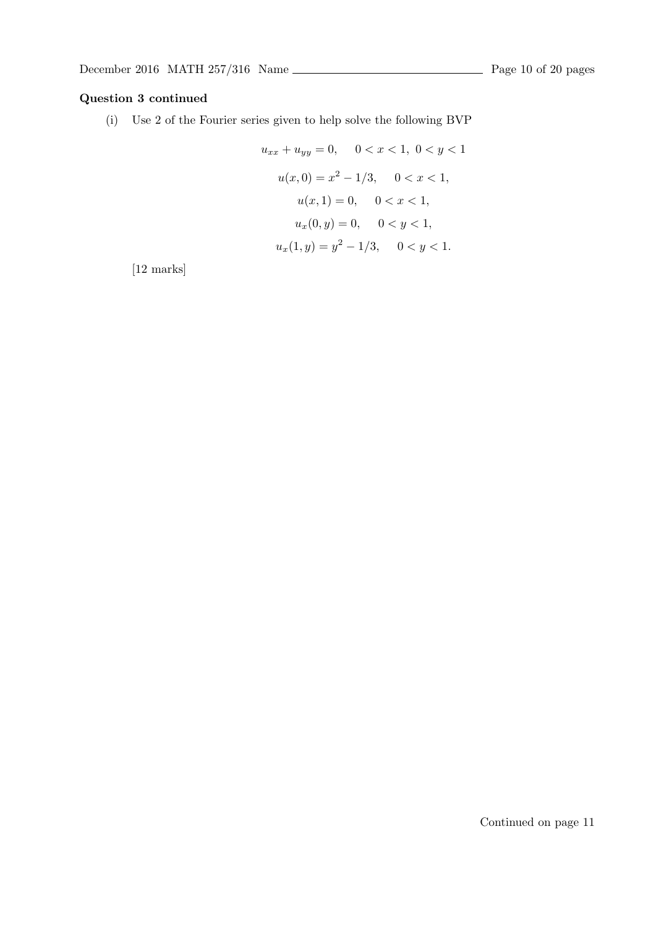### **Question 3 continued**

(i) Use 2 of the Fourier series given to help solve the following BVP

$$
u_{xx} + u_{yy} = 0, \quad 0 < x < 1, \ 0 < y < 1
$$
\n
$$
u(x, 0) = x^2 - 1/3, \quad 0 < x < 1,
$$
\n
$$
u(x, 1) = 0, \quad 0 < x < 1,
$$
\n
$$
u_x(0, y) = 0, \quad 0 < y < 1,
$$
\n
$$
u_x(1, y) = y^2 - 1/3, \quad 0 < y < 1.
$$

[12 marks]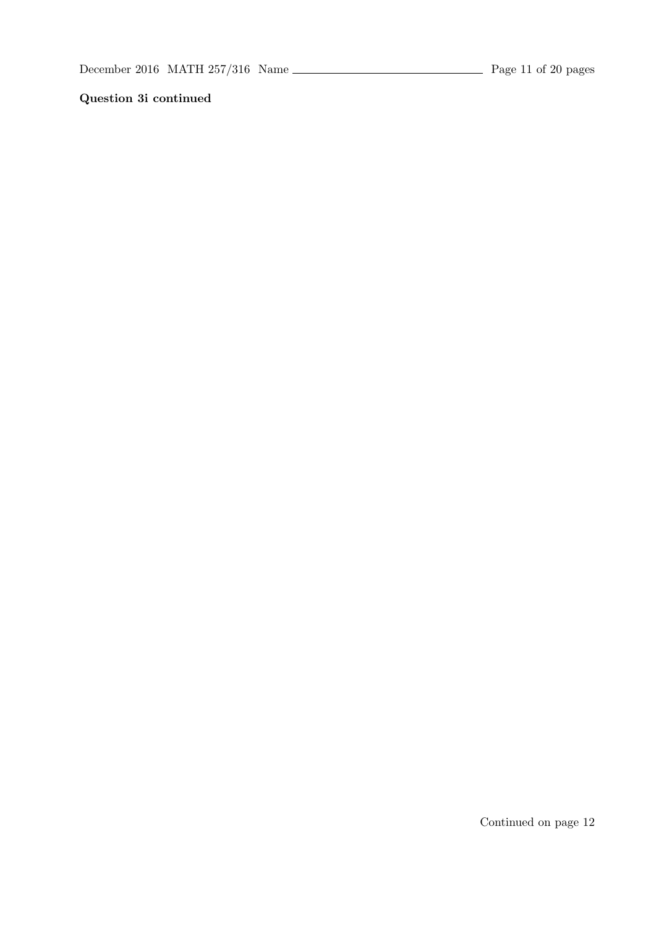## **Question 3i continued**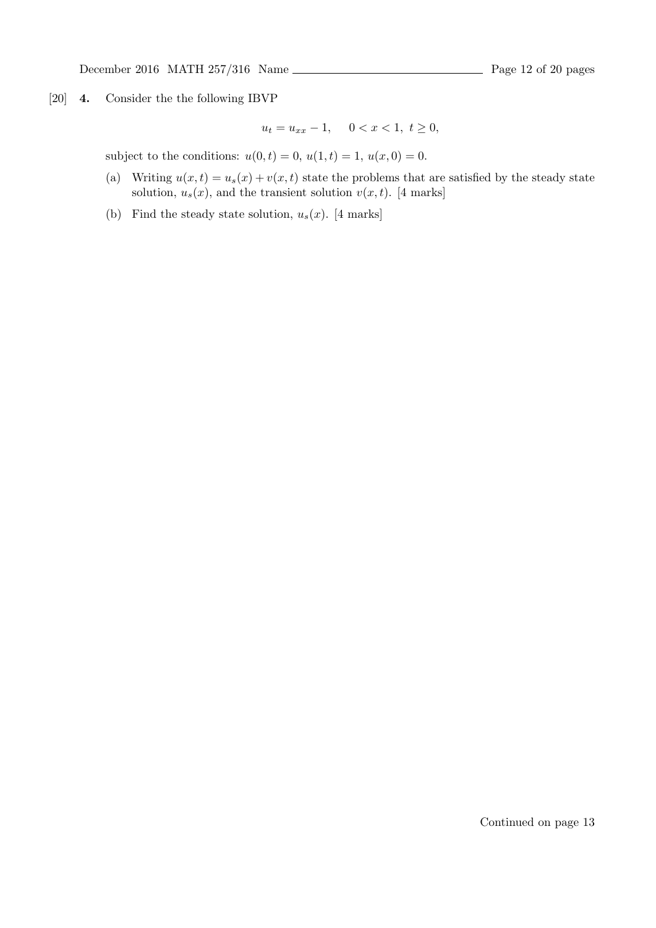[20] **4.** Consider the the following IBVP

 $u_t = u_{xx} - 1, \quad 0 < x < 1, \ t \geq 0,$ 

subject to the conditions:  $u(0, t) = 0$ ,  $u(1, t) = 1$ ,  $u(x, 0) = 0$ .

- (a) Writing  $u(x, t) = u_s(x) + v(x, t)$  state the problems that are satisfied by the steady state solution,  $u_s(x)$ , and the transient solution  $v(x, t)$ . [4 marks]
- (b) Find the steady state solution,  $u_s(x)$ . [4 marks]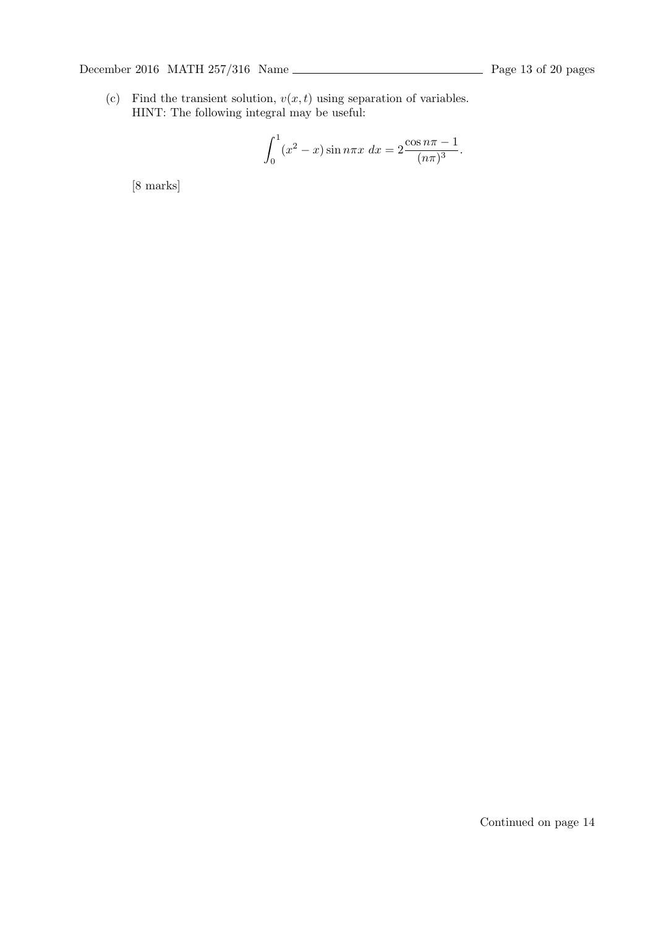(c) Find the transient solution,  $v(x, t)$  using separation of variables. HINT: The following integral may be useful:

$$
\int_0^1 (x^2 - x) \sin n\pi x \, dx = 2 \frac{\cos n\pi - 1}{(n\pi)^3}.
$$

[8 marks]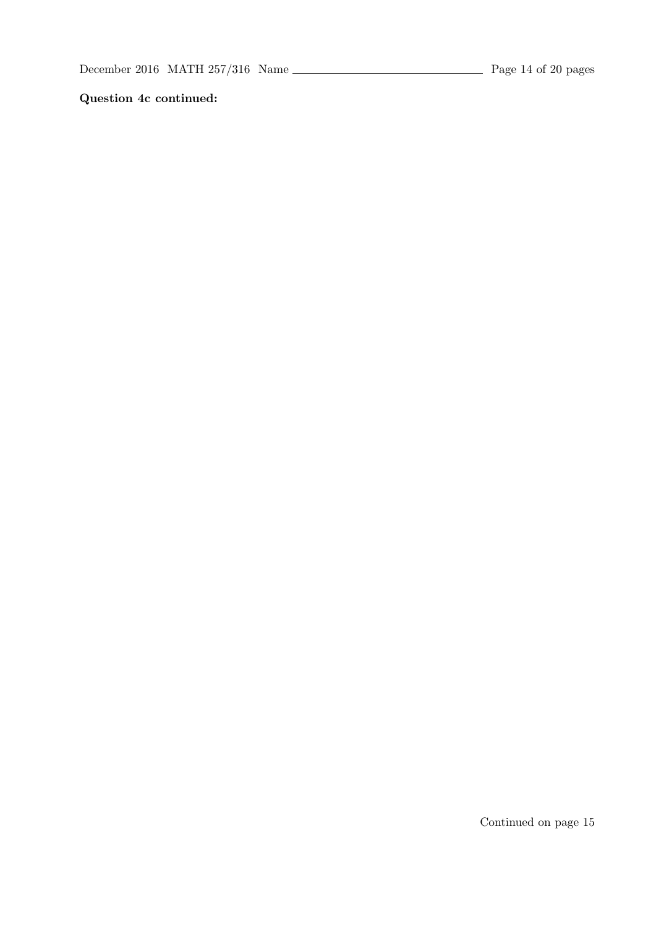**Question 4c continued:**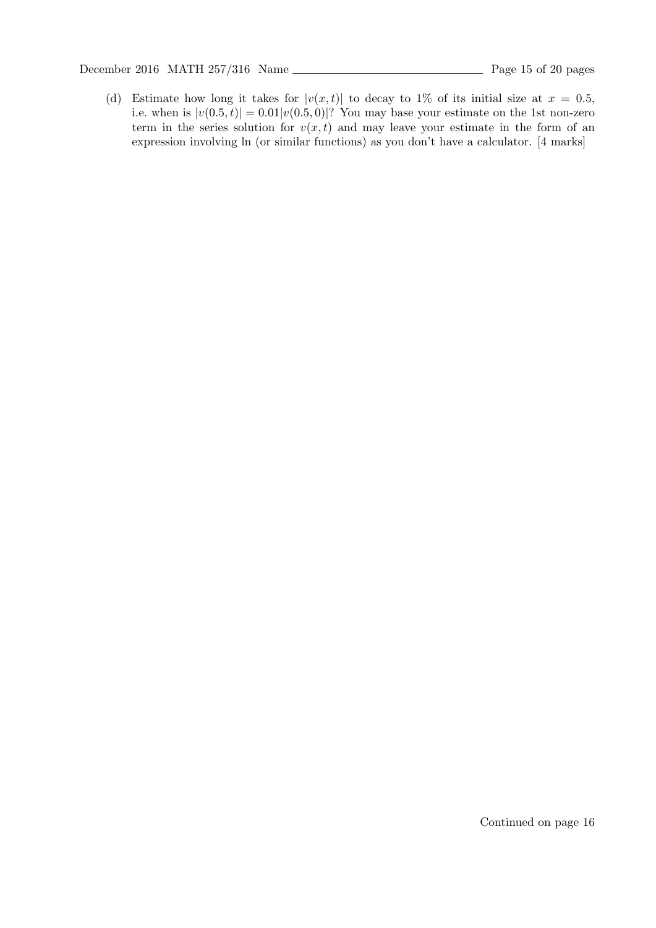December 2016 MATH 257/316 Name Page 15 of 20 pages

(d) Estimate how long it takes for  $|v(x,t)|$  to decay to 1% of its initial size at  $x = 0.5$ , i.e. when is  $|v(0.5, t)| = 0.01|v(0.5, 0)|$ ? You may base your estimate on the 1st non-zero term in the series solution for  $v(x, t)$  and may leave your estimate in the form of an expression involving ln (or similar functions) as you don't have a calculator. [4 marks]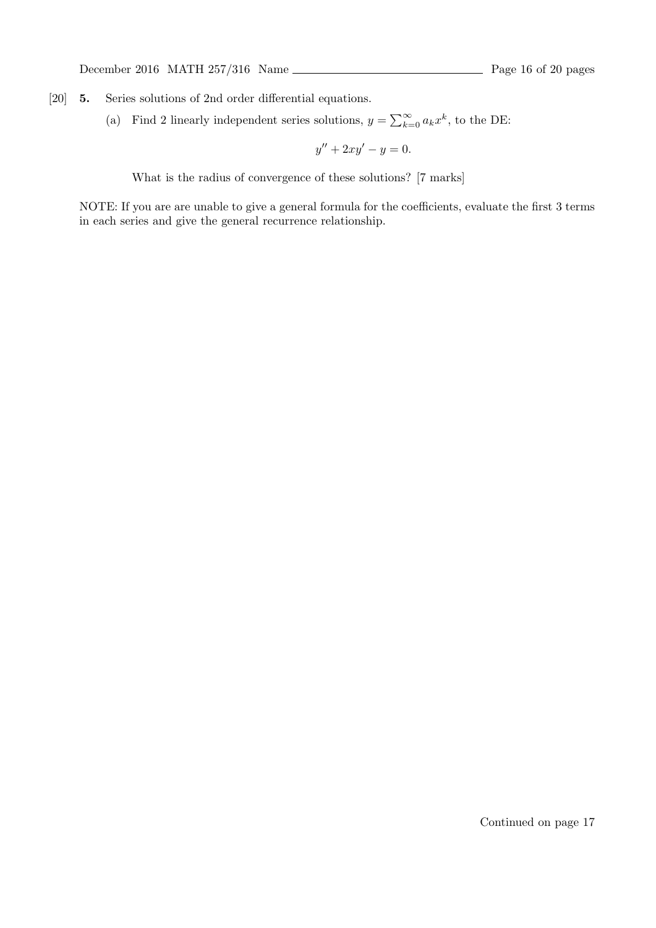- [20] **5.** Series solutions of 2nd order differential equations.
	- (a) Find 2 linearly independent series solutions,  $y = \sum_{k=0}^{\infty} a_k x^k$ , to the DE:

 $y'' + 2xy' - y = 0.$ 

What is the radius of convergence of these solutions? [7 marks]

NOTE: If you are are unable to give a general formula for the coefficients, evaluate the first 3 terms in each series and give the general recurrence relationship.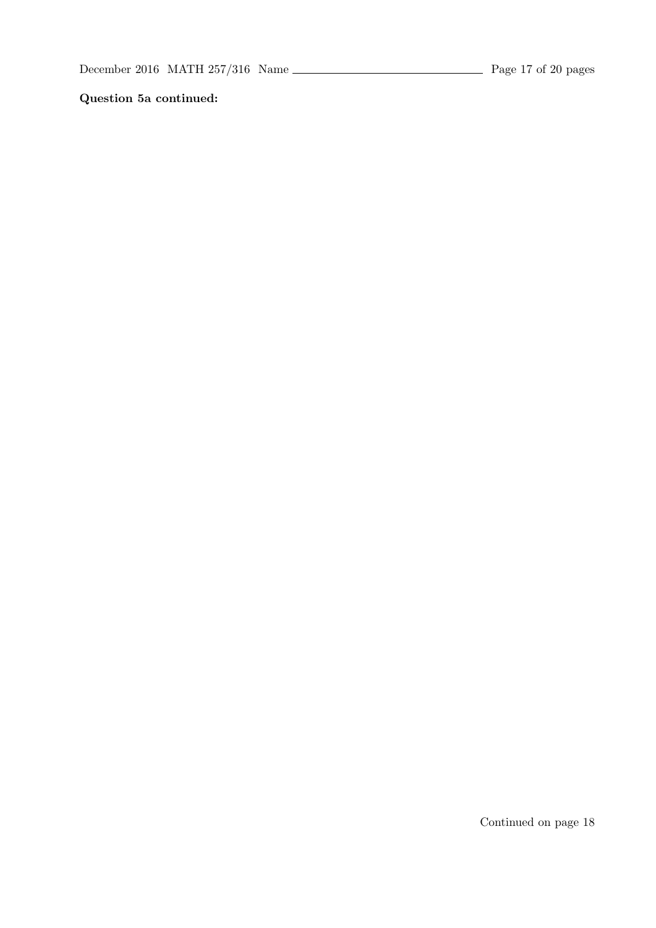**Question 5a continued:**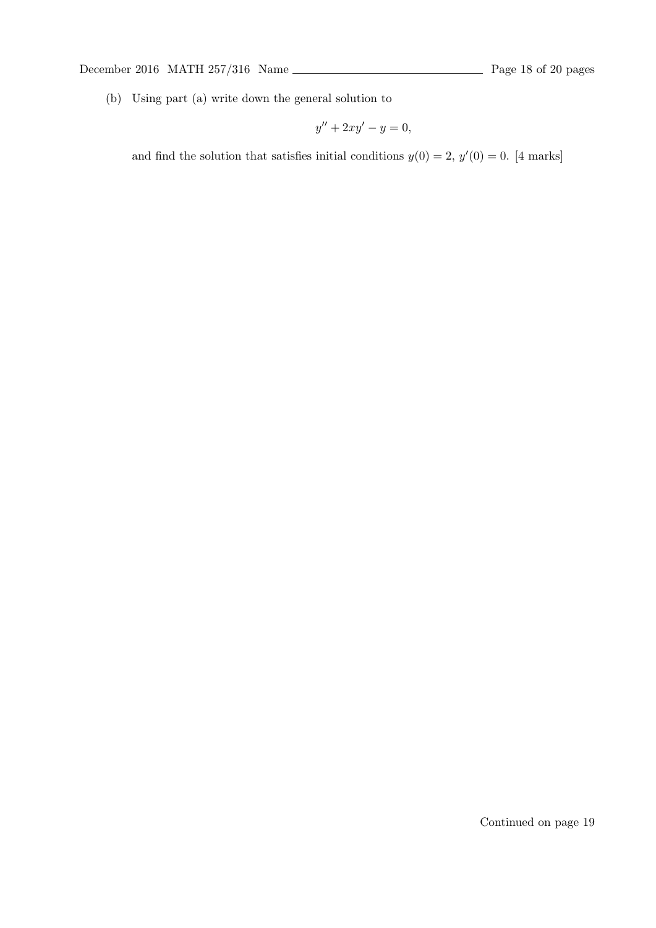December 2016 MATH 257/316 Name <u>Page 18</u> of 20 pages

(b) Using part (a) write down the general solution to

$$
y'' + 2xy' - y = 0,
$$

and find the solution that satisfies initial conditions  $y(0) = 2$ ,  $y'(0) = 0$ . [4 marks]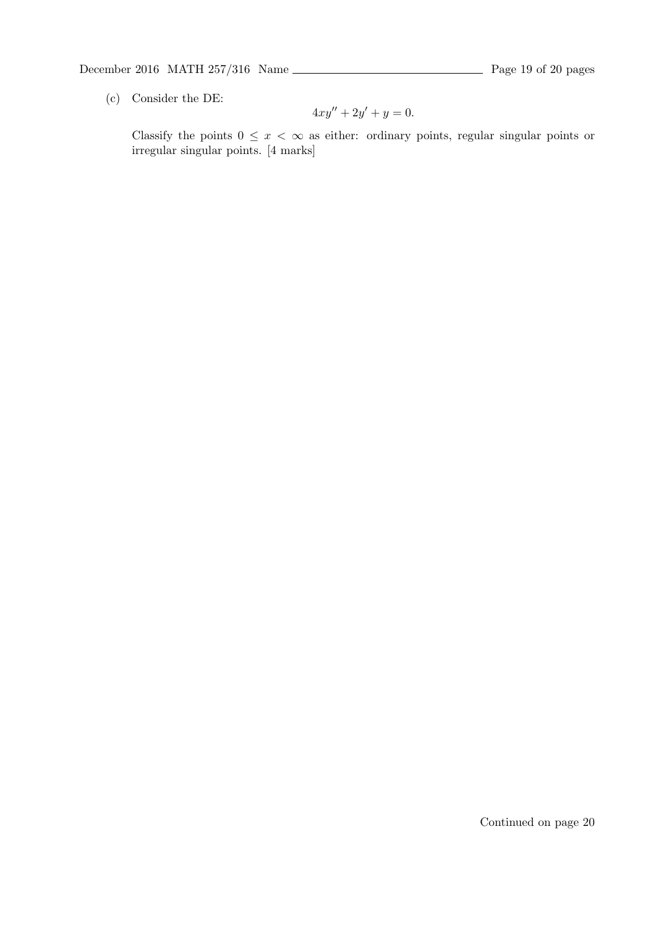# December 2016 MATH  $257/316$  Name  $\overline{\phantom{257/316}}$  Page 19 of 20 pages

(c) Consider the DE:

$$
4xy'' + 2y' + y = 0.
$$

Classify the points  $0 \leq x < \infty$  as either: ordinary points, regular singular points or irregular singular points. [4 marks]